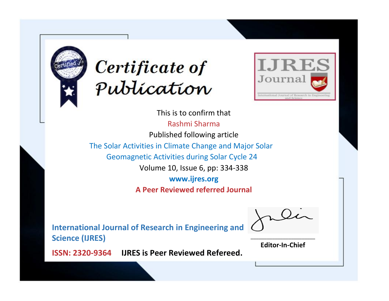



This is to confirm that Rashmi Sharma Published following article The Solar Activities in Climate Change and Major Solar Geomagnetic Activities during Solar Cycle 24 Volume 10, Issue 6, pp: 334-338 **www.ijres.org A Peer Reviewed referred Journal**

**International Journal of Research in Engineering and Science (IJRES)**

\_\_\_\_\_\_\_\_\_\_\_\_\_\_\_\_\_\_\_\_\_\_\_\_ **Editor-In-Chief**

**Journal.**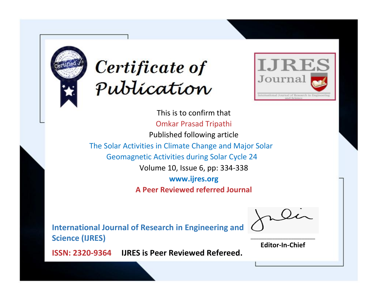



This is to confirm that Omkar Prasad Tripathi Published following article The Solar Activities in Climate Change and Major Solar Geomagnetic Activities during Solar Cycle 24 Volume 10, Issue 6, pp: 334-338 **www.ijres.org A Peer Reviewed referred Journal**

**International Journal of Research in Engineering and Science (IJRES)**

\_\_\_\_\_\_\_\_\_\_\_\_\_\_\_\_\_\_\_\_\_\_\_\_ **Editor-In-Chief**

**Journal.**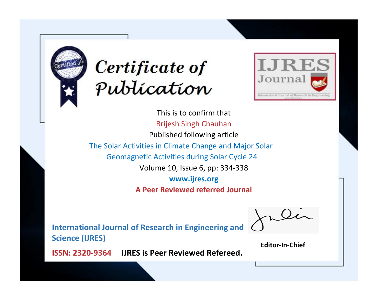



This is to confirm that Brijesh Singh Chauhan Published following article The Solar Activities in Climate Change and Major Solar Geomagnetic Activities during Solar Cycle 24 Volume 10, Issue 6, pp: 334-338 **www.ijres.org A Peer Reviewed referred Journal**

**International Journal of Research in Engineering and Science (IJRES)**

\_\_\_\_\_\_\_\_\_\_\_\_\_\_\_\_\_\_\_\_\_\_\_\_ **Editor-In-Chief**

**Journal.**